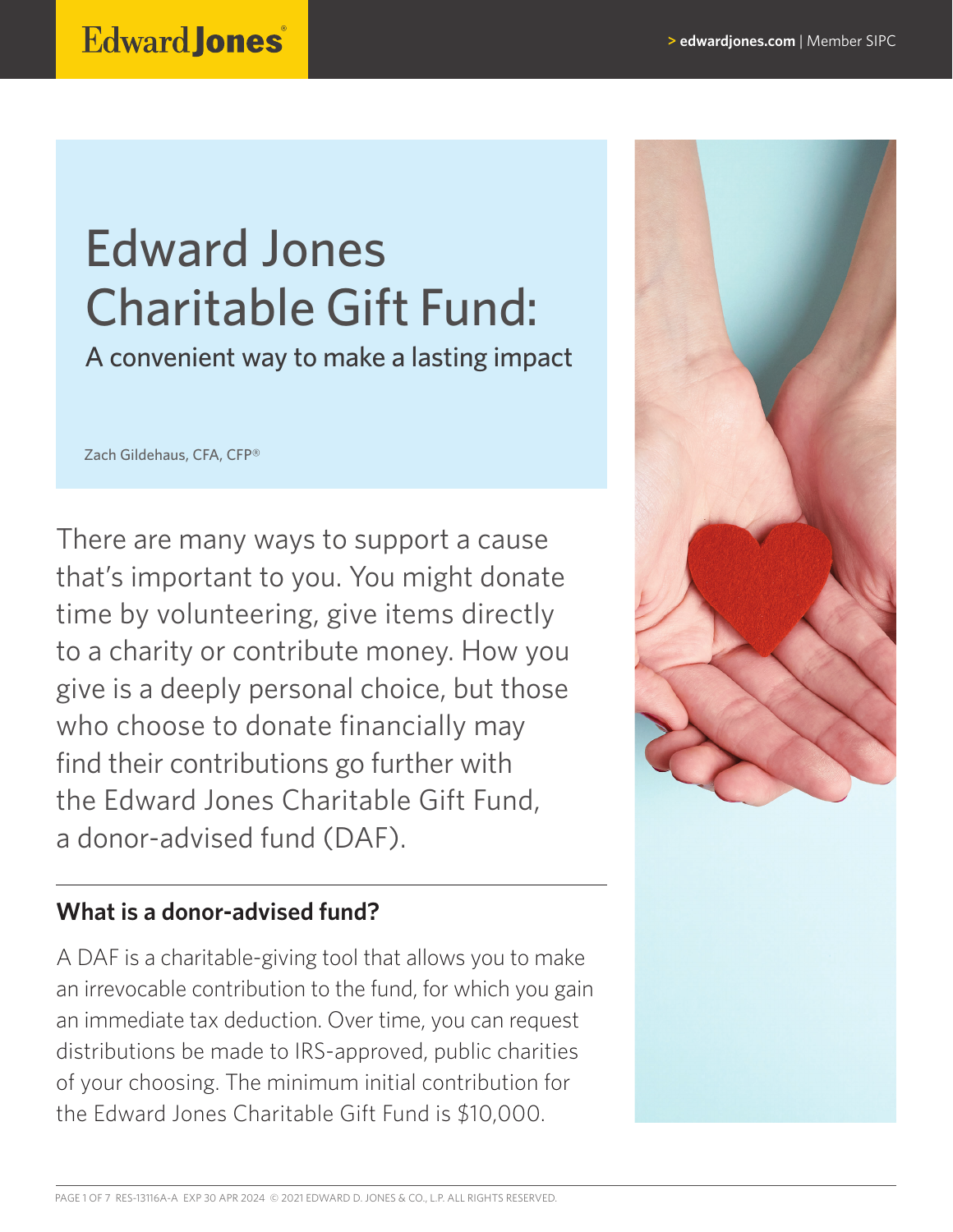# Edward Jones Charitable Gift Fund:

A convenient way to make a lasting impact

Zach Gildehaus, CFA, CFP®

There are many ways to support a cause that's important to you. You might donate time by volunteering, give items directly to a charity or contribute money. How you give is a deeply personal choice, but those who choose to donate financially may find their contributions go further with the Edward Jones Charitable Gift Fund, a donor-advised fund (DAF).

## **What is a donor-advised fund?**

A DAF is a charitable-giving tool that allows you to make an irrevocable contribution to the fund, for which you gain an immediate tax deduction. Over time, you can request distributions be made to IRS-approved, public charities of your choosing. The minimum initial contribution for the Edward Jones Charitable Gift Fund is \$10,000.

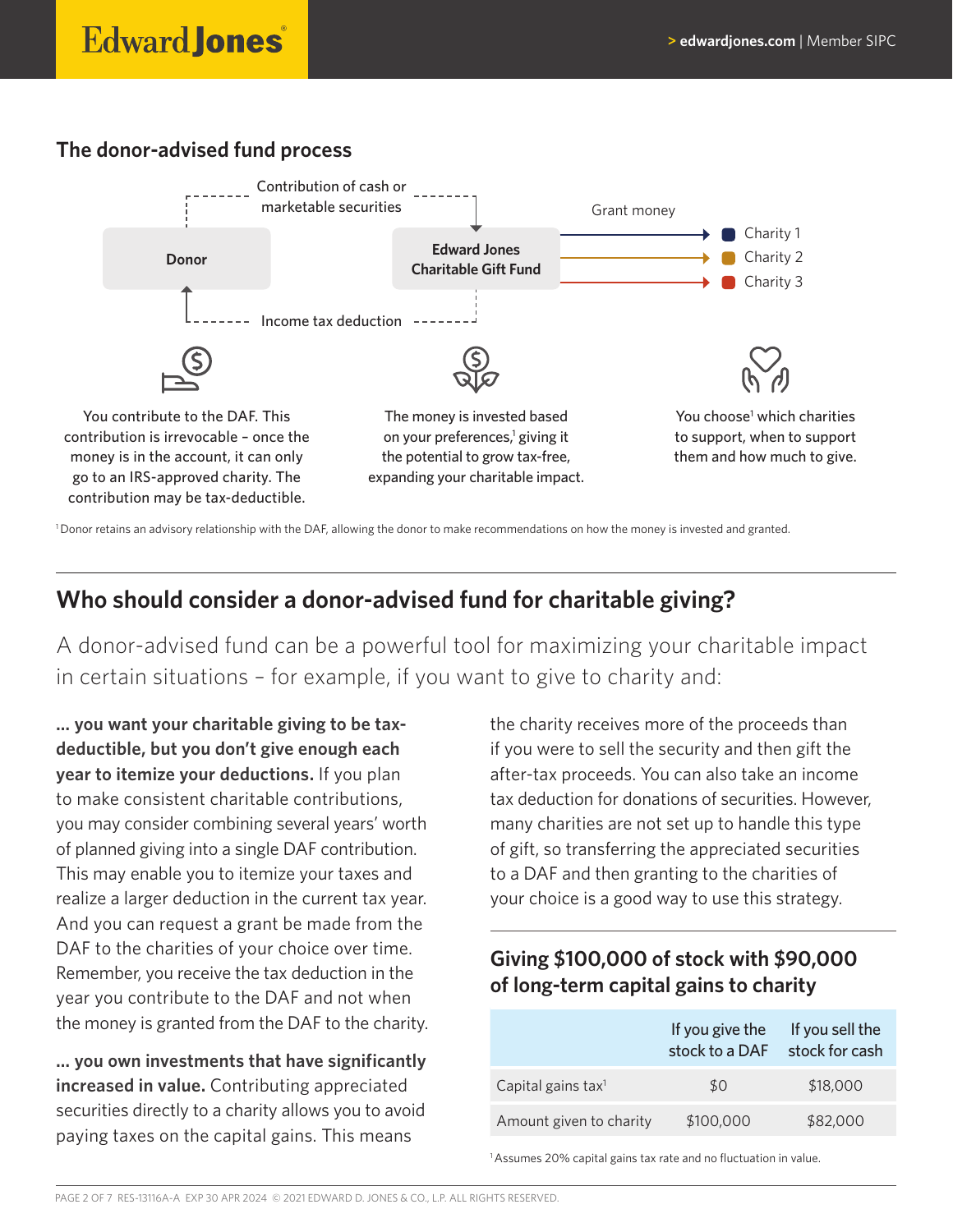#### **The donor-advised fund process**



1 Donor retains an advisory relationship with the DAF, allowing the donor to make recommendations on how the money is invested and granted.

# **Who should consider a donor-advised fund for charitable giving?**

A donor-advised fund can be a powerful tool for maximizing your charitable impact in certain situations – for example, if you want to give to charity and:

**… you want your charitable giving to be taxdeductible, but you don't give enough each year to itemize your deductions.** If you plan to make consistent charitable contributions, you may consider combining several years' worth of planned giving into a single DAF contribution. This may enable you to itemize your taxes and realize a larger deduction in the current tax year. And you can request a grant be made from the DAF to the charities of your choice over time. Remember, you receive the tax deduction in the year you contribute to the DAF and not when the money is granted from the DAF to the charity.

**… you own investments that have significantly increased in value.** Contributing appreciated securities directly to a charity allows you to avoid paying taxes on the capital gains. This means

the charity receives more of the proceeds than if you were to sell the security and then gift the after-tax proceeds. You can also take an income tax deduction for donations of securities. However, many charities are not set up to handle this type of gift, so transferring the appreciated securities to a DAF and then granting to the charities of your choice is a good way to use this strategy.

### **Giving \$100,000 of stock with \$90,000 of long-term capital gains to charity**

|                                | If you give the<br>stock to a DAF | If you sell the<br>stock for cash |
|--------------------------------|-----------------------------------|-----------------------------------|
| Capital gains tax <sup>1</sup> | \$0                               | \$18,000                          |
| Amount given to charity        | \$100,000                         | \$82,000                          |

<sup>1</sup> Assumes 20% capital gains tax rate and no fluctuation in value.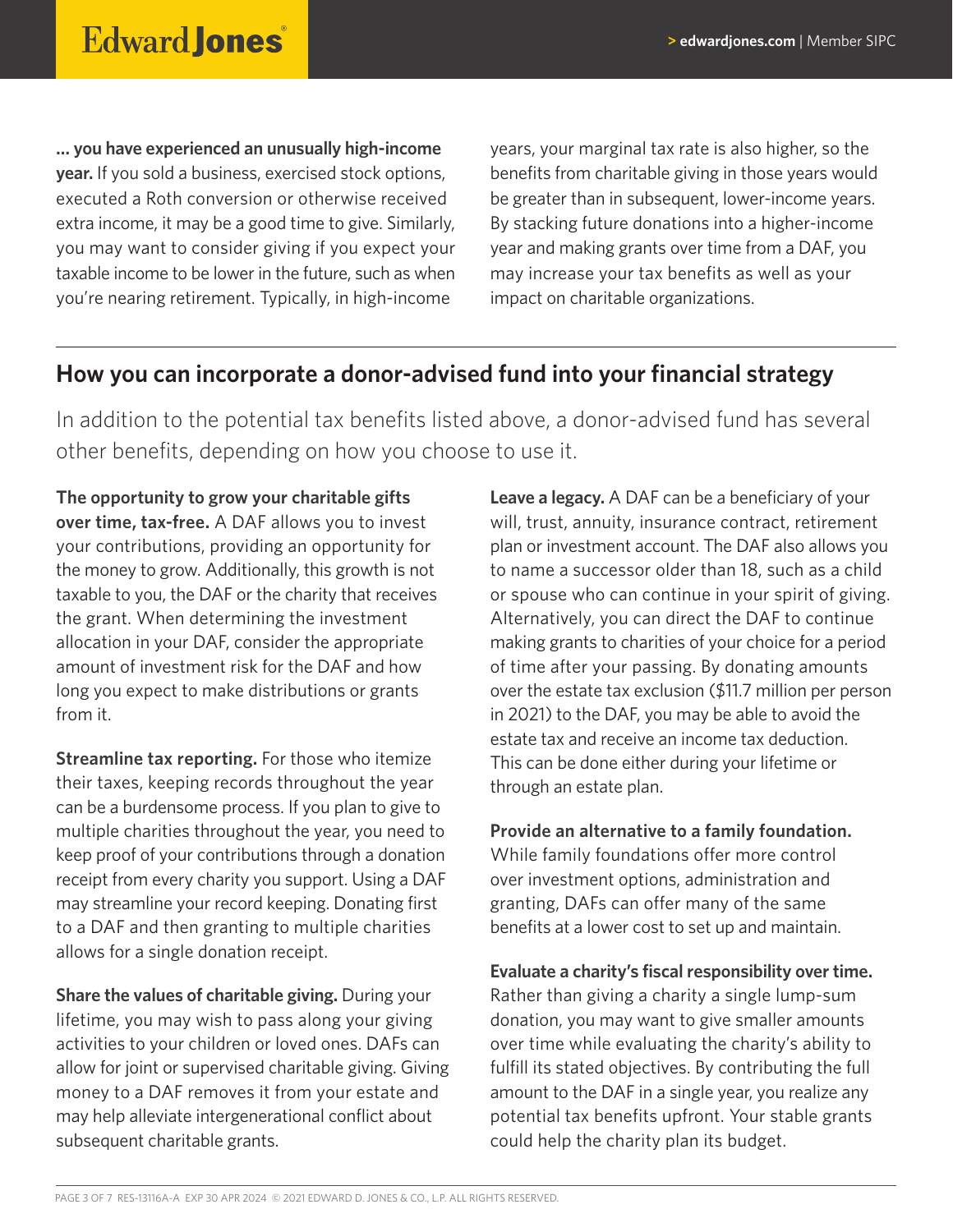**… you have experienced an unusually high-income year.** If you sold a business, exercised stock options, executed a Roth conversion or otherwise received extra income, it may be a good time to give. Similarly, you may want to consider giving if you expect your taxable income to be lower in the future, such as when you're nearing retirement. Typically, in high-income

years, your marginal tax rate is also higher, so the benefits from charitable giving in those years would be greater than in subsequent, lower-income years. By stacking future donations into a higher-income year and making grants over time from a DAF, you may increase your tax benefits as well as your impact on charitable organizations.

## **How you can incorporate a donor-advised fund into your financial strategy**

In addition to the potential tax benefits listed above, a donor-advised fund has several other benefits, depending on how you choose to use it.

**The opportunity to grow your charitable gifts over time, tax-free.** A DAF allows you to invest your contributions, providing an opportunity for the money to grow. Additionally, this growth is not taxable to you, the DAF or the charity that receives the grant. When determining the investment allocation in your DAF, consider the appropriate amount of investment risk for the DAF and how long you expect to make distributions or grants from it.

**Streamline tax reporting.** For those who itemize their taxes, keeping records throughout the year can be a burdensome process. If you plan to give to multiple charities throughout the year, you need to keep proof of your contributions through a donation receipt from every charity you support. Using a DAF may streamline your record keeping. Donating first to a DAF and then granting to multiple charities allows for a single donation receipt.

**Share the values of charitable giving.** During your lifetime, you may wish to pass along your giving activities to your children or loved ones. DAFs can allow for joint or supervised charitable giving. Giving money to a DAF removes it from your estate and may help alleviate intergenerational conflict about subsequent charitable grants.

**Leave a legacy.** A DAF can be a beneficiary of your will, trust, annuity, insurance contract, retirement plan or investment account. The DAF also allows you to name a successor older than 18, such as a child or spouse who can continue in your spirit of giving. Alternatively, you can direct the DAF to continue making grants to charities of your choice for a period of time after your passing. By donating amounts over the estate tax exclusion (\$11.7 million per person in 2021) to the DAF, you may be able to avoid the estate tax and receive an income tax deduction. This can be done either during your lifetime or through an estate plan.

#### **Provide an alternative to a family foundation.**

While family foundations offer more control over investment options, administration and granting, DAFs can offer many of the same benefits at a lower cost to set up and maintain.

# **Evaluate a charity's fiscal responsibility over time.**

Rather than giving a charity a single lump-sum donation, you may want to give smaller amounts over time while evaluating the charity's ability to fulfill its stated objectives. By contributing the full amount to the DAF in a single year, you realize any potential tax benefits upfront. Your stable grants could help the charity plan its budget.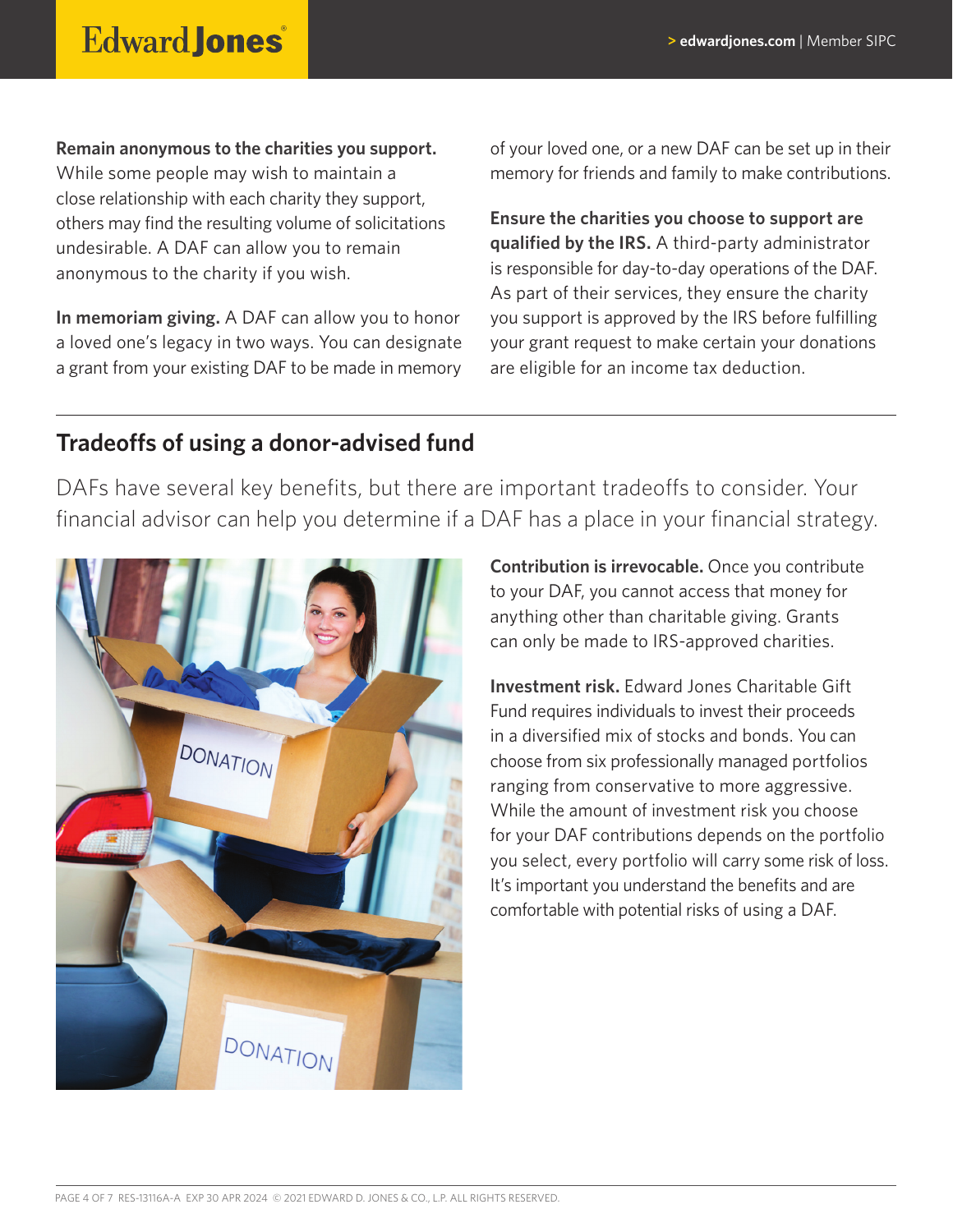# **Edward Jones**

**Remain anonymous to the charities you support.**  While some people may wish to maintain a close relationship with each charity they support, others may find the resulting volume of solicitations undesirable. A DAF can allow you to remain anonymous to the charity if you wish.

**In memoriam giving.** A DAF can allow you to honor a loved one's legacy in two ways. You can designate a grant from your existing DAF to be made in memory of your loved one, or a new DAF can be set up in their memory for friends and family to make contributions.

**Ensure the charities you choose to support are qualified by the IRS.** A third-party administrator is responsible for day-to-day operations of the DAF. As part of their services, they ensure the charity you support is approved by the IRS before fulfilling your grant request to make certain your donations are eligible for an income tax deduction.

# **Tradeoffs of using a donor-advised fund**

DAFs have several key benefits, but there are important tradeoffs to consider. Your financial advisor can help you determine if a DAF has a place in your financial strategy.



**Contribution is irrevocable.** Once you contribute to your DAF, you cannot access that money for anything other than charitable giving. Grants can only be made to IRS-approved charities.

**Investment risk.** Edward Jones Charitable Gift Fund requires individuals to invest their proceeds in a diversified mix of stocks and bonds. You can choose from six professionally managed portfolios ranging from conservative to more aggressive. While the amount of investment risk you choose for your DAF contributions depends on the portfolio you select, every portfolio will carry some risk of loss. It's important you understand the benefits and are comfortable with potential risks of using a DAF.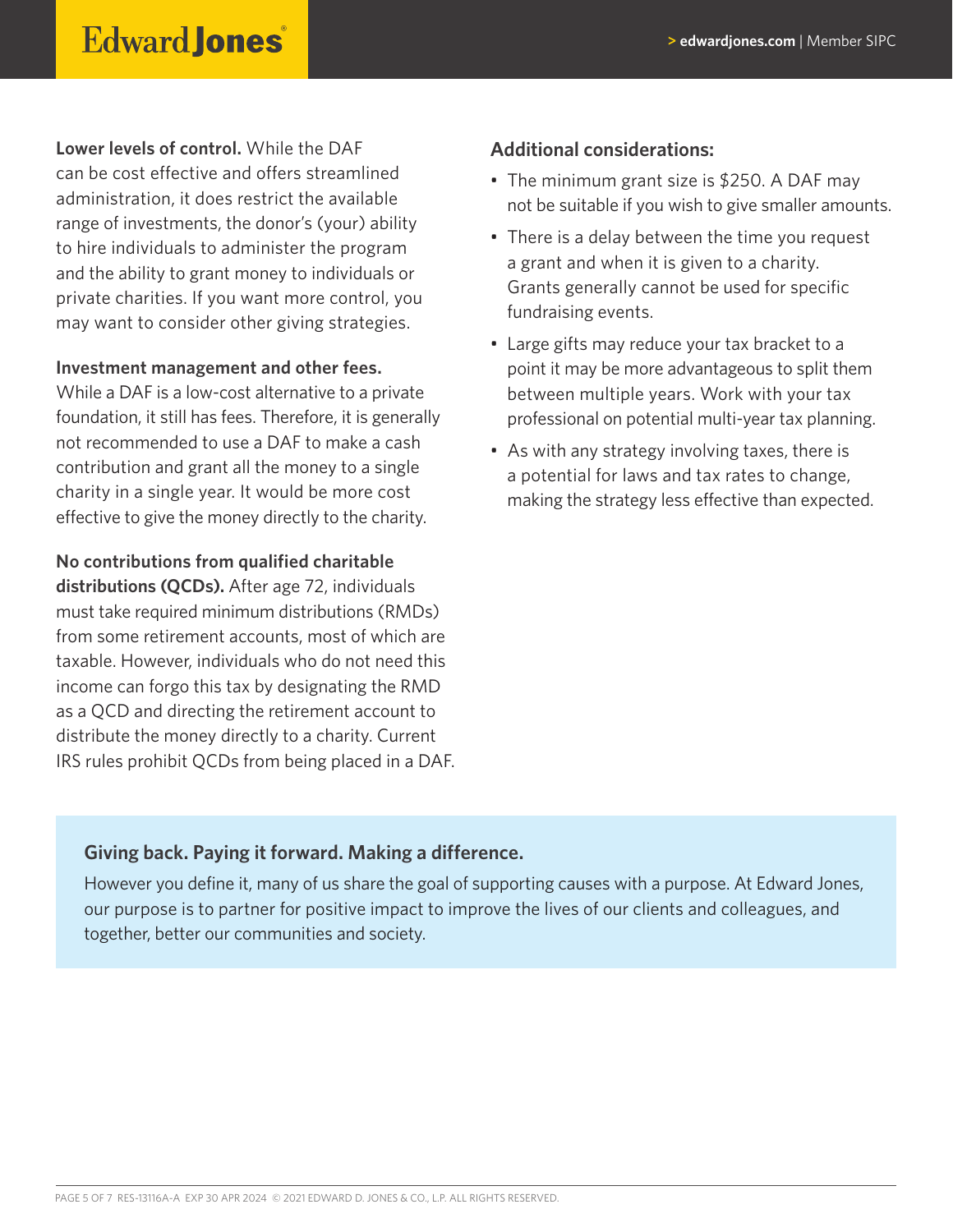**Lower levels of control.** While the DAF can be cost effective and offers streamlined administration, it does restrict the available range of investments, the donor's (your) ability to hire individuals to administer the program and the ability to grant money to individuals or private charities. If you want more control, you may want to consider other giving strategies.

#### **Investment management and other fees.**

While a DAF is a low-cost alternative to a private foundation, it still has fees. Therefore, it is generally not recommended to use a DAF to make a cash contribution and grant all the money to a single charity in a single year. It would be more cost effective to give the money directly to the charity.

#### **No contributions from qualified charitable**

**distributions (QCDs).** After age 72, individuals must take required minimum distributions (RMDs) from some retirement accounts, most of which are taxable. However, individuals who do not need this income can forgo this tax by designating the RMD as a QCD and directing the retirement account to distribute the money directly to a charity. Current IRS rules prohibit QCDs from being placed in a DAF.

#### **Additional considerations:**

- The minimum grant size is \$250. A DAF may not be suitable if you wish to give smaller amounts.
- There is a delay between the time you request a grant and when it is given to a charity. Grants generally cannot be used for specific fundraising events.
- Large gifts may reduce your tax bracket to a point it may be more advantageous to split them between multiple years. Work with your tax professional on potential multi-year tax planning.
- As with any strategy involving taxes, there is a potential for laws and tax rates to change, making the strategy less effective than expected.

#### **Giving back. Paying it forward. Making a difference.**

However you define it, many of us share the goal of supporting causes with a purpose. At Edward Jones, our purpose is to partner for positive impact to improve the lives of our clients and colleagues, and together, better our communities and society.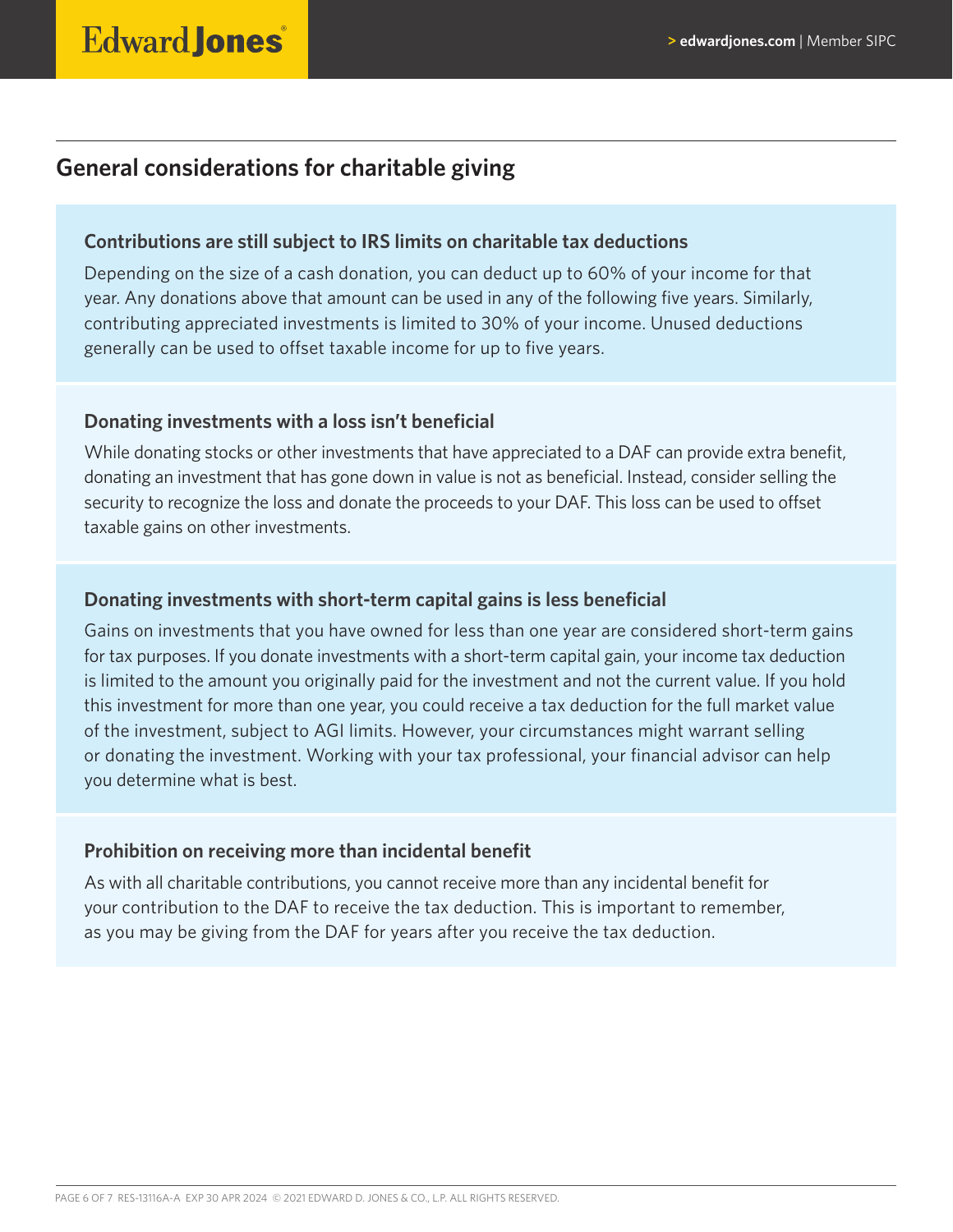# **General considerations for charitable giving**

#### **Contributions are still subject to IRS limits on charitable tax deductions**

Depending on the size of a cash donation, you can deduct up to 60% of your income for that year. Any donations above that amount can be used in any of the following five years. Similarly, contributing appreciated investments is limited to 30% of your income. Unused deductions generally can be used to offset taxable income for up to five years.

#### **Donating investments with a loss isn't beneficial**

While donating stocks or other investments that have appreciated to a DAF can provide extra benefit, donating an investment that has gone down in value is not as beneficial. Instead, consider selling the security to recognize the loss and donate the proceeds to your DAF. This loss can be used to offset taxable gains on other investments.

#### **Donating investments with short-term capital gains is less beneficial**

Gains on investments that you have owned for less than one year are considered short-term gains for tax purposes. If you donate investments with a short-term capital gain, your income tax deduction is limited to the amount you originally paid for the investment and not the current value. If you hold this investment for more than one year, you could receive a tax deduction for the full market value of the investment, subject to AGI limits. However, your circumstances might warrant selling or donating the investment. Working with your tax professional, your financial advisor can help you determine what is best.

#### **Prohibition on receiving more than incidental benefit**

As with all charitable contributions, you cannot receive more than any incidental benefit for your contribution to the DAF to receive the tax deduction. This is important to remember, as you may be giving from the DAF for years after you receive the tax deduction.